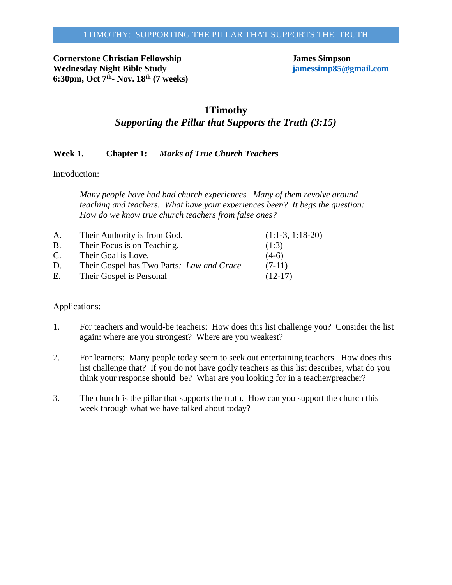**Cornerstone Christian Fellowship**<br> **Cornerstone Christian Fellowship**<br> **Cornerstone Christian Fellowship**<br> **James Simpson**<br> **James Simpson**<br> **<u>jamessimp85@gmail.com</u> Wednesday Night Bible Study 6:30pm, Oct 7th- Nov. 18th (7 weeks)**

# **1Timothy** *Supporting the Pillar that Supports the Truth (3:15)*

# **Week 1. Chapter 1:** *Marks of True Church Teachers*

Introduction:

*Many people have had bad church experiences. Many of them revolve around teaching and teachers. What have your experiences been? It begs the question: How do we know true church teachers from false ones?*

| A.        | Their Authority is from God.               | $(1:1-3, 1:18-20)$ |
|-----------|--------------------------------------------|--------------------|
| <b>B.</b> | Their Focus is on Teaching.                | (1:3)              |
| C.        | Their Goal is Love.                        | $(4-6)$            |
| D.        | Their Gospel has Two Parts: Law and Grace. | $(7-11)$           |
| E.        | Their Gospel is Personal                   | $(12-17)$          |

- 1. For teachers and would-be teachers: How does this list challenge you? Consider the list again: where are you strongest? Where are you weakest?
- 2. For learners: Many people today seem to seek out entertaining teachers. How does this list challenge that? If you do not have godly teachers as this list describes, what do you think your response should be? What are you looking for in a teacher/preacher?
- 3. The church is the pillar that supports the truth. How can you support the church this week through what we have talked about today?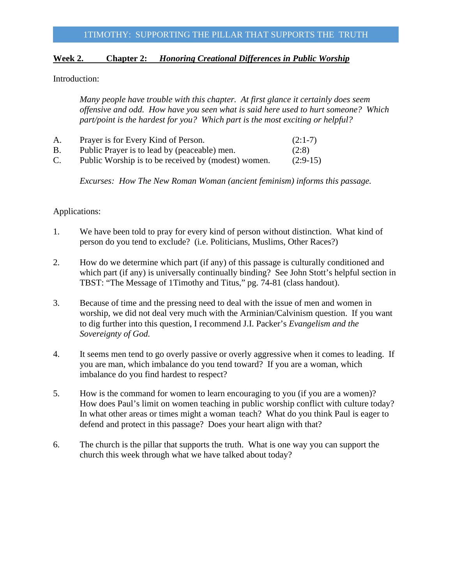# **Week 2. Chapter 2:** *Honoring Creational Differences in Public Worship*

Introduction:

*Many people have trouble with this chapter. At first glance it certainly does seem offensive and odd. How have you seen what is said here used to hurt someone? Which part/point is the hardest for you? Which part is the most exciting or helpful?*

| A.        | Prayer is for Every Kind of Person.                 | $(2:1-7)$  |
|-----------|-----------------------------------------------------|------------|
| <b>B.</b> | Public Prayer is to lead by (peaceable) men.        | (2:8)      |
| C.        | Public Worship is to be received by (modest) women. | $(2:9-15)$ |

*Excurses: How The New Roman Woman (ancient feminism) informs this passage.*

- 1. We have been told to pray for every kind of person without distinction. What kind of person do you tend to exclude? (i.e. Politicians, Muslims, Other Races?)
- 2. How do we determine which part (if any) of this passage is culturally conditioned and which part (if any) is universally continually binding? See John Stott's helpful section in TBST: "The Message of 1Timothy and Titus," pg. 74-81 (class handout).
- 3. Because of time and the pressing need to deal with the issue of men and women in worship, we did not deal very much with the Arminian/Calvinism question. If you want to dig further into this question, I recommend J.I. Packer's *Evangelism and the Sovereignty of God.*
- 4. It seems men tend to go overly passive or overly aggressive when it comes to leading. If you are man, which imbalance do you tend toward? If you are a woman, which imbalance do you find hardest to respect?
- 5. How is the command for women to learn encouraging to you (if you are a women)? How does Paul's limit on women teaching in public worship conflict with culture today? In what other areas or times might a woman teach? What do you think Paul is eager to defend and protect in this passage? Does your heart align with that?
- 6. The church is the pillar that supports the truth. What is one way you can support the church this week through what we have talked about today?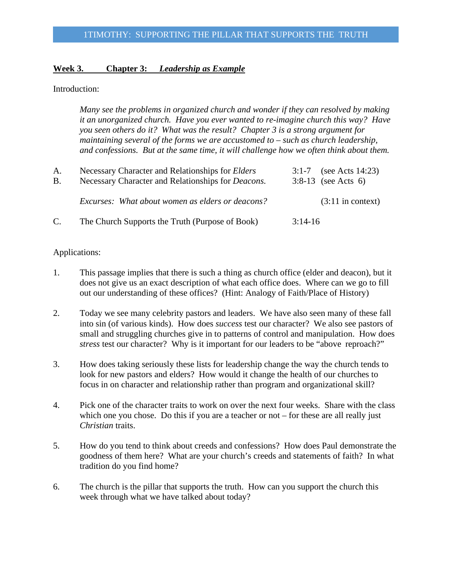### **Week 3. Chapter 3:** *Leadership as Example*

#### Introduction:

*Many see the problems in organized church and wonder if they can resolved by making it an unorganized church. Have you ever wanted to re-imagine church this way? Have you seen others do it? What was the result? Chapter 3 is a strong argument for maintaining several of the forms we are accustomed to – such as church leadership, and confessions. But at the same time, it will challenge how we often think about them.*

| A.<br>B. | Necessary Character and Relationships for Elders<br>Necessary Character and Relationships for <i>Deacons</i> . | 3:1-7 (see Acts 14:23)<br>3:8-13 (see Acts 6) |
|----------|----------------------------------------------------------------------------------------------------------------|-----------------------------------------------|
|          | Excurses: What about women as elders or deacons?                                                               | $(3:11$ in context)                           |
| C.       | The Church Supports the Truth (Purpose of Book)                                                                | $3:14-16$                                     |

- 1. This passage implies that there is such a thing as church office (elder and deacon), but it does not give us an exact description of what each office does. Where can we go to fill out our understanding of these offices? (Hint: Analogy of Faith/Place of History)
- 2. Today we see many celebrity pastors and leaders. We have also seen many of these fall into sin (of various kinds). How does *success* test our character? We also see pastors of small and struggling churches give in to patterns of control and manipulation. How does *stress* test our character? Why is it important for our leaders to be "above reproach?"
- 3. How does taking seriously these lists for leadership change the way the church tends to look for new pastors and elders? How would it change the health of our churches to focus in on character and relationship rather than program and organizational skill?
- 4. Pick one of the character traits to work on over the next four weeks. Share with the class which one you chose. Do this if you are a teacher or not – for these are all really just *Christian* traits.
- 5. How do you tend to think about creeds and confessions? How does Paul demonstrate the goodness of them here? What are your church's creeds and statements of faith? In what tradition do you find home?
- 6. The church is the pillar that supports the truth. How can you support the church this week through what we have talked about today?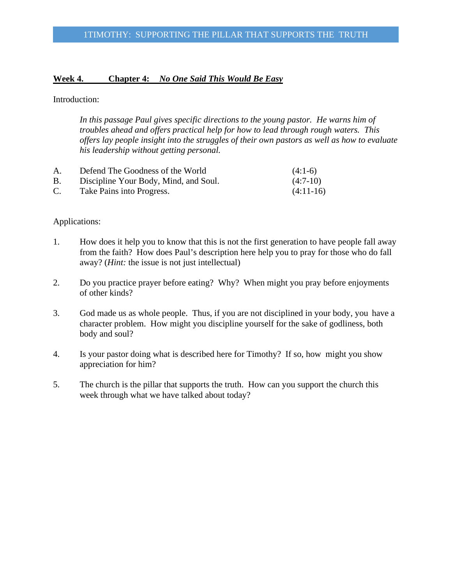# **Week 4. Chapter 4:** *No One Said This Would Be Easy*

### Introduction:

*In this passage Paul gives specific directions to the young pastor. He warns him of troubles ahead and offers practical help for how to lead through rough waters. This offers lay people insight into the struggles of their own pastors as well as how to evaluate his leadership without getting personal.*

| A.             | Defend The Goodness of the World      | $(4:1-6)$   |
|----------------|---------------------------------------|-------------|
| В.             | Discipline Your Body, Mind, and Soul. | $(4:7-10)$  |
| $\mathbf{C}$ . | Take Pains into Progress.             | $(4:11-16)$ |

- 1. How does it help you to know that this is not the first generation to have people fall away from the faith? How does Paul's description here help you to pray for those who do fall away? (*Hint:* the issue is not just intellectual)
- 2. Do you practice prayer before eating? Why? When might you pray before enjoyments of other kinds?
- 3. God made us as whole people. Thus, if you are not disciplined in your body, you have a character problem. How might you discipline yourself for the sake of godliness, both body and soul?
- 4. Is your pastor doing what is described here for Timothy? If so, how might you show appreciation for him?
- 5. The church is the pillar that supports the truth. How can you support the church this week through what we have talked about today?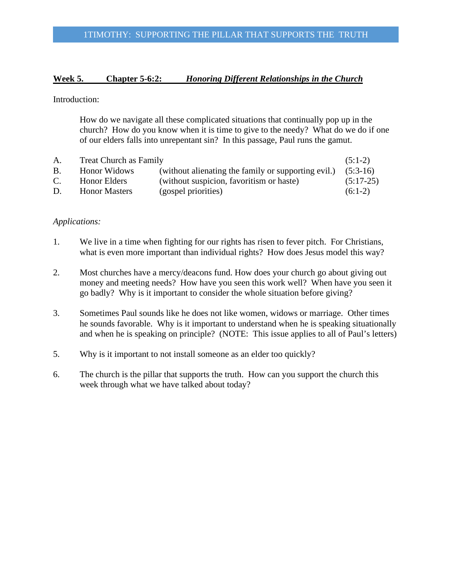# **Week 5. Chapter 5-6:2:** *Honoring Different Relationships in the Church*

Introduction:

How do we navigate all these complicated situations that continually pop up in the church? How do you know when it is time to give to the needy? What do we do if one of our elders falls into unrepentant sin? In this passage, Paul runs the gamut.

| A.        | <b>Treat Church as Family</b> |                                                     | $(5:1-2)$   |
|-----------|-------------------------------|-----------------------------------------------------|-------------|
| <b>B.</b> | Honor Widows                  | (without alienating the family or supporting evil.) | $(5:3-16)$  |
| C.        | Honor Elders                  | (without suspicion, favoritism or haste)            | $(5:17-25)$ |
| D.        | <b>Honor Masters</b>          | (gospel priorities)                                 | $(6:1-2)$   |

- 1. We live in a time when fighting for our rights has risen to fever pitch. For Christians, what is even more important than individual rights? How does Jesus model this way?
- 2. Most churches have a mercy/deacons fund. How does your church go about giving out money and meeting needs? How have you seen this work well? When have you seen it go badly? Why is it important to consider the whole situation before giving?
- 3. Sometimes Paul sounds like he does not like women, widows or marriage. Other times he sounds favorable. Why is it important to understand when he is speaking situationally and when he is speaking on principle? (NOTE: This issue applies to all of Paul's letters)
- 5. Why is it important to not install someone as an elder too quickly?
- 6. The church is the pillar that supports the truth. How can you support the church this week through what we have talked about today?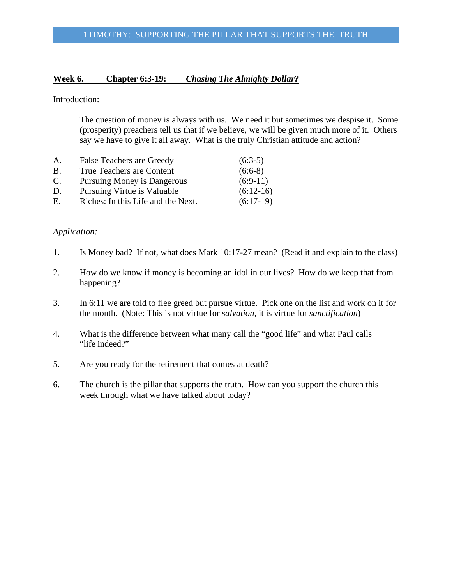# **Week 6. Chapter 6:3-19:** *Chasing The Almighty Dollar?*

Introduction:

The question of money is always with us. We need it but sometimes we despise it. Some (prosperity) preachers tell us that if we believe, we will be given much more of it. Others say we have to give it all away. What is the truly Christian attitude and action?

| A.        | <b>False Teachers are Greedy</b>   | $(6:3-5)$   |
|-----------|------------------------------------|-------------|
| <b>B.</b> | True Teachers are Content          | $(6:6-8)$   |
| C.        | Pursuing Money is Dangerous        | $(6:9-11)$  |
| D.        | Pursuing Virtue is Valuable        | $(6:12-16)$ |
| Е.        | Riches: In this Life and the Next. | $(6:17-19)$ |

- 1. Is Money bad? If not, what does Mark 10:17-27 mean? (Read it and explain to the class)
- 2. How do we know if money is becoming an idol in our lives? How do we keep that from happening?
- 3. In 6:11 we are told to flee greed but pursue virtue. Pick one on the list and work on it for the month. (Note: This is not virtue for *salvation,* it is virtue for *sanctification*)
- 4. What is the difference between what many call the "good life" and what Paul calls "life indeed?"
- 5. Are you ready for the retirement that comes at death?
- 6. The church is the pillar that supports the truth. How can you support the church this week through what we have talked about today?